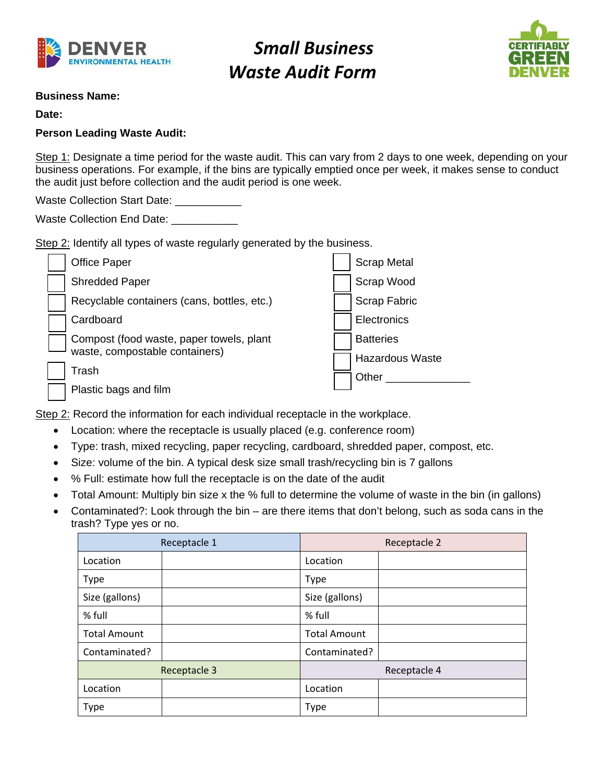

# *Small Business Waste Audit Form*



#### **Business Name:**

**Date:**

## **Person Leading Waste Audit:**

Step 1: Designate a time period for the waste audit. This can vary from 2 days to one week, depending on your business operations. For example, if the bins are typically emptied once per week, it makes sense to conduct the audit just before collection and the audit period is one week.

| <b>Waste Collection Start Date:</b> |  |
|-------------------------------------|--|
|-------------------------------------|--|

| <b>Waste Collection End Date:</b> |  |
|-----------------------------------|--|
|-----------------------------------|--|

Step 2: Identify all types of waste regularly generated by the business.

| Office Paper                                                               |  | <b>Scrap Metal</b>     |
|----------------------------------------------------------------------------|--|------------------------|
| <b>Shredded Paper</b>                                                      |  | Scrap Wood             |
| Recyclable containers (cans, bottles, etc.)                                |  | Scrap Fabric           |
| Cardboard                                                                  |  | Electronics            |
| Compost (food waste, paper towels, plant<br>waste, compostable containers) |  | <b>Batteries</b>       |
|                                                                            |  | <b>Hazardous Waste</b> |
| Trash                                                                      |  | Other                  |
| Plastic bags and film                                                      |  |                        |

Step 2: Record the information for each individual receptacle in the workplace.

- Location: where the receptacle is usually placed (e.g. conference room)
- Type: trash, mixed recycling, paper recycling, cardboard, shredded paper, compost, etc.
- Size: volume of the bin. A typical desk size small trash/recycling bin is 7 gallons
- % Full: estimate how full the receptacle is on the date of the audit
- Total Amount: Multiply bin size x the % full to determine the volume of waste in the bin (in gallons)
- Contaminated?: Look through the bin are there items that don't belong, such as soda cans in the trash? Type yes or no.

| Receptacle 1        | Receptacle 2        |  |  |
|---------------------|---------------------|--|--|
| Location            | Location            |  |  |
| Type                | <b>Type</b>         |  |  |
| Size (gallons)      | Size (gallons)      |  |  |
| % full              | % full              |  |  |
| <b>Total Amount</b> | <b>Total Amount</b> |  |  |
| Contaminated?       | Contaminated?       |  |  |
| Receptacle 3        | Receptacle 4        |  |  |
| Location            | Location            |  |  |
| <b>Type</b>         | <b>Type</b>         |  |  |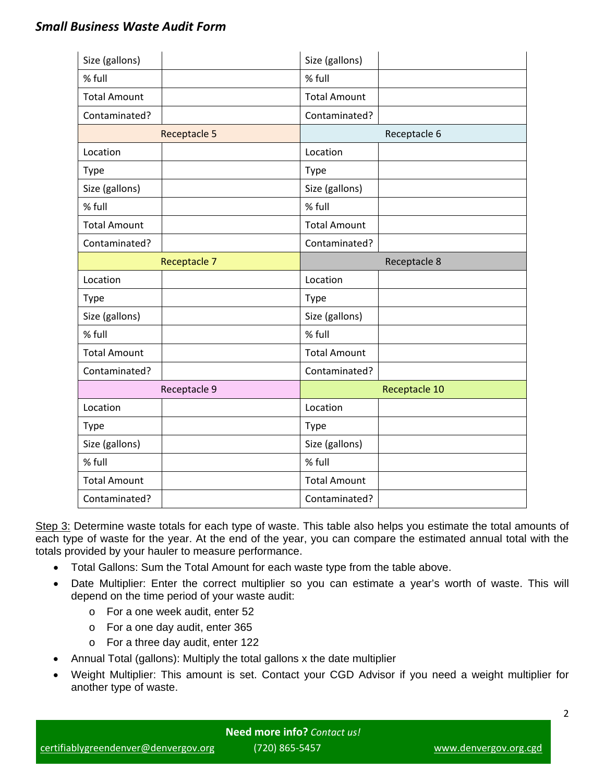# *Small Business Waste Audit Form*

| Size (gallons)      | Size (gallons)      |
|---------------------|---------------------|
| % full              | % full              |
| <b>Total Amount</b> | <b>Total Amount</b> |
| Contaminated?       | Contaminated?       |
| <b>Receptacle 5</b> | Receptacle 6        |
| Location            | Location            |
| Type                | Type                |
| Size (gallons)      | Size (gallons)      |
| % full              | % full              |
| <b>Total Amount</b> | <b>Total Amount</b> |
| Contaminated?       | Contaminated?       |
| Receptacle 7        | Receptacle 8        |
| Location            | Location            |
| Type                | Type                |
| Size (gallons)      | Size (gallons)      |
| % full              | % full              |
| <b>Total Amount</b> | <b>Total Amount</b> |
| Contaminated?       | Contaminated?       |
| Receptacle 9        | Receptacle 10       |
| Location            | Location            |
| Type                | Type                |
| Size (gallons)      | Size (gallons)      |
| % full              | % full              |
| <b>Total Amount</b> | <b>Total Amount</b> |
| Contaminated?       | Contaminated?       |

Step 3: Determine waste totals for each type of waste. This table also helps you estimate the total amounts of each type of waste for the year. At the end of the year, you can compare the estimated annual total with the totals provided by your hauler to measure performance.

- Total Gallons: Sum the Total Amount for each waste type from the table above.
- Date Multiplier: Enter the correct multiplier so you can estimate a year's worth of waste. This will depend on the time period of your waste audit:
	- o For a one week audit, enter 52
	- o For a one day audit, enter 365
	- o For a three day audit, enter 122
- Annual Total (gallons): Multiply the total gallons x the date multiplier
- Weight Multiplier: This amount is set. Contact your CGD Advisor if you need a weight multiplier for another type of waste.